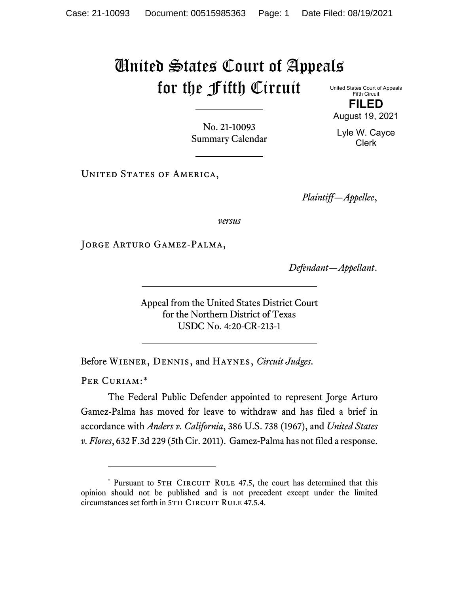## United States Court of Appeals for the Fifth Circuit United States Court of Appeals

Fifth Circuit **FILED**

No. 21-10093 Summary Calendar

UNITED STATES OF AMERICA,

*Plaintiff—Appellee*,

*versus*

Jorge Arturo Gamez-Palma,

*Defendant—Appellant*.

Appeal from the United States District Court for the Northern District of Texas USDC No. 4:20-CR-213-1

Before Wiener, Dennis, and Haynes, *Circuit Judges*.

PER CURIAM:[\\*](#page-0-0)

The Federal Public Defender appointed to represent Jorge Arturo Gamez-Palma has moved for leave to withdraw and has filed a brief in accordance with *Anders v. California*, 386 U.S. 738 (1967), and *United States v. Flores*, 632 F.3d 229 (5th Cir. 2011). Gamez-Palma has not filed a response.

August 19, 2021 Lyle W. Cayce

Clerk

<span id="page-0-0"></span><sup>\*</sup> Pursuant to 5TH CIRCUIT RULE 47.5, the court has determined that this opinion should not be published and is not precedent except under the limited circumstances set forth in 5TH CIRCUIT RULE 47.5.4.